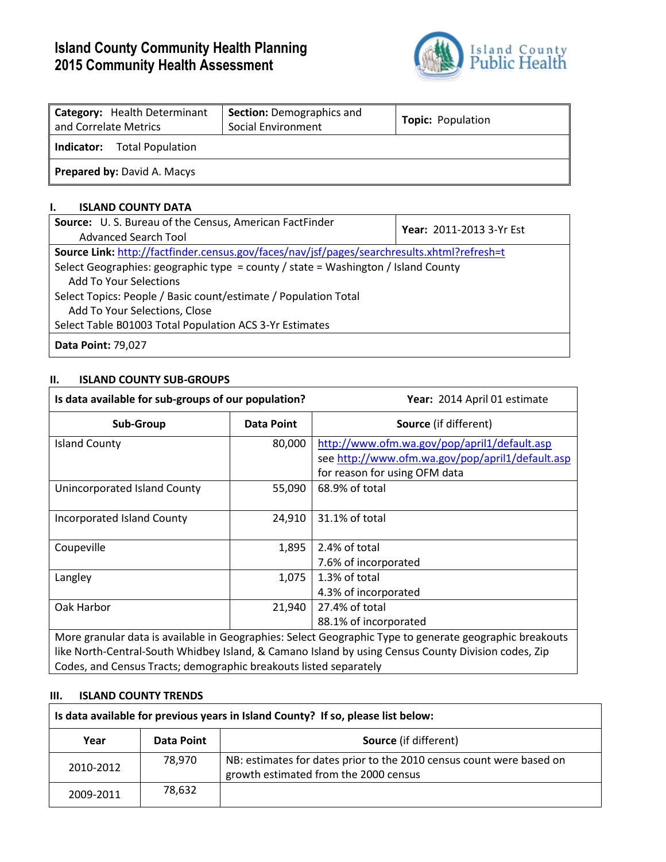# **Island County Community Health Planning 2015 Community Health Assessment**



| Category: Health Determinant<br>and Correlate Metrics | <b>Section: Demographics and</b><br>Social Environment | <b>Topic: Population</b> |  |  |  |  |  |
|-------------------------------------------------------|--------------------------------------------------------|--------------------------|--|--|--|--|--|
| Total Population<br>Indicator:                        |                                                        |                          |  |  |  |  |  |
| <b>Prepared by: David A. Macys</b>                    |                                                        |                          |  |  |  |  |  |

# **I. ISLAND COUNTY DATA**

| Source: U.S. Bureau of the Census, American FactFinder<br>Advanced Search Tool              | <b>Year: 2011-2013 3-Yr Est</b> |  |  |  |  |
|---------------------------------------------------------------------------------------------|---------------------------------|--|--|--|--|
| Source Link: http://factfinder.census.gov/faces/nav/jsf/pages/searchresults.xhtml?refresh=t |                                 |  |  |  |  |
| Select Geographies: geographic type = county / state = Washington / Island County           |                                 |  |  |  |  |
| <b>Add To Your Selections</b>                                                               |                                 |  |  |  |  |
| Select Topics: People / Basic count/estimate / Population Total                             |                                 |  |  |  |  |
| Add To Your Selections, Close                                                               |                                 |  |  |  |  |
| Select Table B01003 Total Population ACS 3-Yr Estimates                                     |                                 |  |  |  |  |
| <b>Data Point: 79,027</b>                                                                   |                                 |  |  |  |  |

# **II. ISLAND COUNTY SUB-GROUPS**

| Is data available for sub-groups of our population?                                                                                                                                                                                                                                 |                   | Year: 2014 April 01 estimate                                                                                                      |  |  |  |
|-------------------------------------------------------------------------------------------------------------------------------------------------------------------------------------------------------------------------------------------------------------------------------------|-------------------|-----------------------------------------------------------------------------------------------------------------------------------|--|--|--|
| Sub-Group                                                                                                                                                                                                                                                                           | <b>Data Point</b> | <b>Source</b> (if different)                                                                                                      |  |  |  |
| <b>Island County</b>                                                                                                                                                                                                                                                                | 80,000            | http://www.ofm.wa.gov/pop/april1/default.asp<br>see http://www.ofm.wa.gov/pop/april1/default.asp<br>for reason for using OFM data |  |  |  |
| Unincorporated Island County                                                                                                                                                                                                                                                        | 55,090            | 68.9% of total                                                                                                                    |  |  |  |
| Incorporated Island County                                                                                                                                                                                                                                                          | 24,910            | 31.1% of total                                                                                                                    |  |  |  |
| Coupeville                                                                                                                                                                                                                                                                          | 1,895             | 2.4% of total<br>7.6% of incorporated                                                                                             |  |  |  |
| Langley                                                                                                                                                                                                                                                                             | 1,075             | 1.3% of total<br>4.3% of incorporated                                                                                             |  |  |  |
| Oak Harbor                                                                                                                                                                                                                                                                          | 21,940            | 27.4% of total<br>88.1% of incorporated                                                                                           |  |  |  |
| More granular data is available in Geographies: Select Geographic Type to generate geographic breakouts<br>like North-Central-South Whidbey Island, & Camano Island by using Census County Division codes, Zip<br>Codes, and Census Tracts; demographic breakouts listed separately |                   |                                                                                                                                   |  |  |  |

# **III. ISLAND COUNTY TRENDS**

| Is data available for previous years in Island County? If so, please list below: |            |                                                                                                               |  |  |  |  |
|----------------------------------------------------------------------------------|------------|---------------------------------------------------------------------------------------------------------------|--|--|--|--|
| Year                                                                             | Data Point | <b>Source</b> (if different)                                                                                  |  |  |  |  |
| 2010-2012                                                                        | 78,970     | NB: estimates for dates prior to the 2010 census count were based on<br>growth estimated from the 2000 census |  |  |  |  |
| 2009-2011                                                                        | 78,632     |                                                                                                               |  |  |  |  |